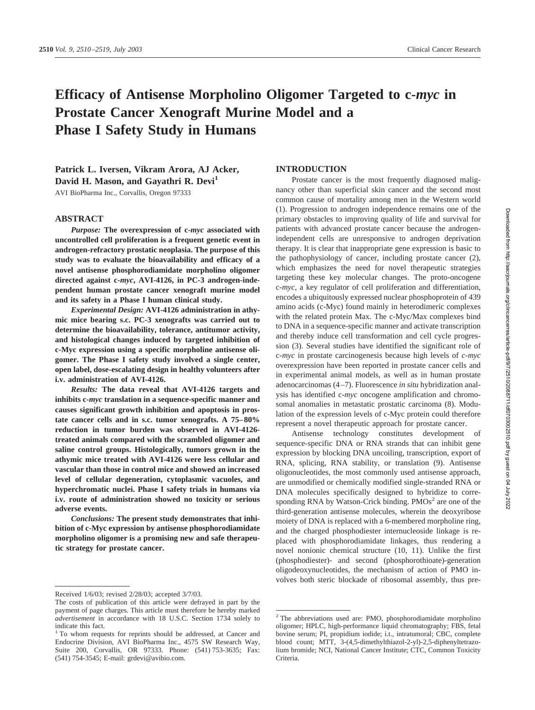# **Efficacy of Antisense Morpholino Oligomer Targeted to c-***myc* **in Prostate Cancer Xenograft Murine Model and a Phase I Safety Study in Humans**

**Patrick L. Iversen, Vikram Arora, AJ Acker,** David H. Mason, and Gayathri R. Devi<sup>1</sup>

AVI BioPharma Inc., Corvallis, Oregon 97333

# **ABSTRACT**

*Purpose:* **The overexpression of c-***myc* **associated with uncontrolled cell proliferation is a frequent genetic event in androgen-refractory prostatic neoplasia. The purpose of this study was to evaluate the bioavailability and efficacy of a novel antisense phosphorodiamidate morpholino oligomer directed against c-***myc***, AVI-4126, in PC-3 androgen-independent human prostate cancer xenograft murine model and its safety in a Phase I human clinical study.**

*Experimental Design:* **AVI-4126 administration in athymic mice bearing s.c. PC-3 xenografts was carried out to determine the bioavailability, tolerance, antitumor activity, and histological changes induced by targeted inhibition of c-Myc expression using a specific morpholine antisense oligomer. The Phase I safety study involved a single center, open label, dose-escalating design in healthy volunteers after i.v. administration of AVI-4126.**

*Results:* **The data reveal that AVI-4126 targets and inhibits c-***myc* **translation in a sequence-specific manner and causes significant growth inhibition and apoptosis in prostate cancer cells and in s.c. tumor xenografts. A 75–80% reduction in tumor burden was observed in AVI-4126 treated animals compared with the scrambled oligomer and saline control groups. Histologically, tumors grown in the athymic mice treated with AVI-4126 were less cellular and vascular than those in control mice and showed an increased level of cellular degeneration, cytoplasmic vacuoles, and hyperchromatic nuclei. Phase I safety trials in humans via i.v. route of administration showed no toxicity or serious adverse events.**

*Conclusions:* **The present study demonstrates that inhibition of c-Myc expression by antisense phosphorodiamidate morpholino oligomer is a promising new and safe therapeutic strategy for prostate cancer.**

# **INTRODUCTION**

Prostate cancer is the most frequently diagnosed malignancy other than superficial skin cancer and the second most common cause of mortality among men in the Western world (1). Progression to androgen independence remains one of the primary obstacles to improving quality of life and survival for patients with advanced prostate cancer because the androgenindependent cells are unresponsive to androgen deprivation therapy. It is clear that inappropriate gene expression is basic to the pathophysiology of cancer, including prostate cancer (2), which emphasizes the need for novel therapeutic strategies targeting these key molecular changes. The proto-oncogene c-*myc*, a key regulator of cell proliferation and differentiation, encodes a ubiquitously expressed nuclear phosphoprotein of 439 amino acids (c-Myc) found mainly in heterodimeric complexes with the related protein Max. The c-Myc/Max complexes bind to DNA in a sequence-specific manner and activate transcription and thereby induce cell transformation and cell cycle progression (3). Several studies have identified the significant role of c-*myc* in prostate carcinogenesis because high levels of *c-myc* overexpression have been reported in prostate cancer cells and in experimental animal models, as well as in human prostate adenocarcinomas (4–7). Fluorescence *in situ* hybridization analysis has identified c-*myc* oncogene amplification and chromosomal anomalies in metastatic prostatic carcinoma (8). Modulation of the expression levels of c-Myc protein could therefore represent a novel therapeutic approach for prostate cancer.

Antisense technology constitutes development of sequence-specific DNA or RNA strands that can inhibit gene expression by blocking DNA uncoiling, transcription, export of RNA, splicing, RNA stability, or translation (9). Antisense oligonucleotides, the most commonly used antisense approach, are unmodified or chemically modified single-stranded RNA or DNA molecules specifically designed to hybridize to corresponding RNA by Watson-Crick binding.  $PMOs<sup>2</sup>$  are one of the third-generation antisense molecules, wherein the deoxyribose moiety of DNA is replaced with a 6-membered morpholine ring, and the charged phosphodiester internucleoside linkage is replaced with phosphorodiamidate linkages, thus rendering a novel nonionic chemical structure (10, 11). Unlike the first (phosphodiester)- and second (phosphorothioate)-generation oligodeoxynucleotides, the mechanism of action of PMO involves both steric blockade of ribosomal assembly, thus pre-

Received 1/6/03; revised 2/28/03; accepted 3/7/03.

The costs of publication of this article were defrayed in part by the payment of page charges. This article must therefore be hereby marked *advertisement* in accordance with 18 U.S.C. Section 1734 solely to indicate this fact.

<sup>1</sup> To whom requests for reprints should be addressed, at Cancer and Endocrine Division, AVI BioPharma Inc., 4575 SW Research Way, Suite 200, Corvallis, OR 97333. Phone: (541) 753-3635; Fax: (541) 754-3545; E-mail: grdevi@avibio.com.

<sup>2</sup> The abbreviations used are: PMO, phosphorodiamidate morpholino oligomer; HPLC, high-performance liquid chromatography; FBS, fetal bovine serum; PI, propidium iodide; i.t., intratumoral; CBC, complete blood count; MTT, 3-(4,5-dimethylthiazol-2-yl)-2,5-diphenyltetrazolium bromide; NCI, National Cancer Institute; CTC, Common Toxicity Criteria.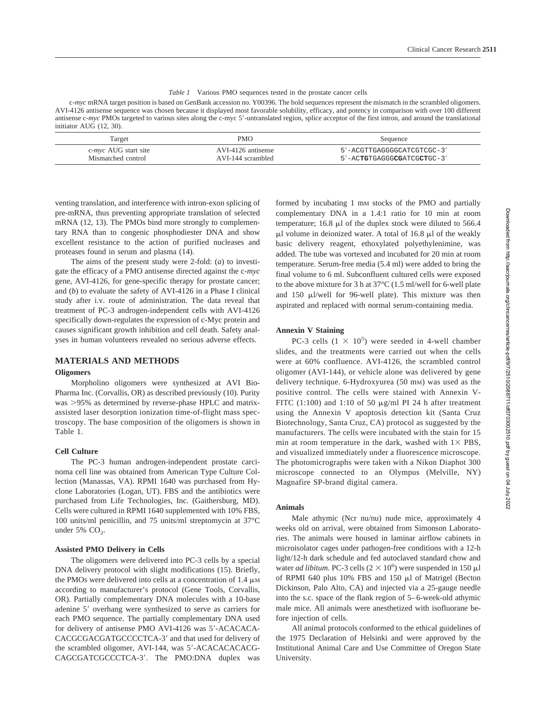|  | <i>Table 1</i> Various PMO sequences tested in the prostate cancer cells |  |  |  |  |  |  |
|--|--------------------------------------------------------------------------|--|--|--|--|--|--|
|--|--------------------------------------------------------------------------|--|--|--|--|--|--|

c-*myc* mRNA target position is based on GenBank accession no. Y00396. The bold sequences represent the mismatch in the scrambled oligomers. AVI-4126 antisense sequence was chosen because it displayed most favorable solubility, efficacy, and potency in comparison with over 100 different antisense c-*myc* PMOs targeted to various sites along the c-myc 5-untranslated region, splice acceptor of the first intron, and around the translational initiator AUG (12, 30).

| Target                       | <b>PMO</b>         | Sequence                      |
|------------------------------|--------------------|-------------------------------|
| c- <i>myc</i> AUG start site | AVI-4126 antisense | 5'-ACGTTGAGGGGCATCGTCGC-3'    |
| Mismatched control           | AVI-144 scrambled  | $5'$ -ACTGTGAGGGCGATCGCTGC-3' |

venting translation, and interference with intron-exon splicing of pre-mRNA, thus preventing appropriate translation of selected mRNA (12, 13). The PMOs bind more strongly to complementary RNA than to congenic phosphodiester DNA and show excellent resistance to the action of purified nucleases and proteases found in serum and plasma (14).

The aims of the present study were 2-fold: (*a*) to investigate the efficacy of a PMO antisense directed against the c-*myc* gene, AVI-4126, for gene-specific therapy for prostate cancer; and (*b*) to evaluate the safety of AVI-4126 in a Phase I clinical study after i.v. route of administration. The data reveal that treatment of PC-3 androgen-independent cells with AVI-4126 specifically down-regulates the expression of c-Myc protein and causes significant growth inhibition and cell death. Safety analyses in human volunteers revealed no serious adverse effects.

# **MATERIALS AND METHODS**

## **Oligomers**

Morpholino oligomers were synthesized at AVI Bio-Pharma Inc. (Corvallis, OR) as described previously (10). Purity was >95% as determined by reverse-phase HPLC and matrixassisted laser desorption ionization time-of-flight mass spectroscopy. The base composition of the oligomers is shown in Table 1.

# **Cell Culture**

The PC-3 human androgen-independent prostate carcinoma cell line was obtained from American Type Culture Collection (Manassas, VA). RPMI 1640 was purchased from Hyclone Laboratories (Logan, UT). FBS and the antibiotics were purchased from Life Technologies, Inc. (Gaithersburg, MD). Cells were cultured in RPMI 1640 supplemented with 10% FBS, 100 units/ml penicillin, and 75 units/ml streptomycin at 37°C under 5%  $CO<sub>2</sub>$ .

# **Assisted PMO Delivery in Cells**

The oligomers were delivered into PC-3 cells by a special DNA delivery protocol with slight modifications (15). Briefly, the PMOs were delivered into cells at a concentration of  $1.4 \mu$ M according to manufacturer's protocol (Gene Tools, Corvallis, OR). Partially complementary DNA molecules with a 10-base adenine 5' overhang were synthesized to serve as carriers for each PMO sequence. The partially complementary DNA used for delivery of antisense PMO AVI-4126 was 5'-ACACACA-CACGCGACGATGCCCCTCA-3' and that used for delivery of the scrambled oligomer, AVI-144, was 5'-ACACACACACG-CAGCGATCGCCCTCA-3'. The PMO:DNA duplex was formed by incubating 1 mm stocks of the PMO and partially complementary DNA in a 1.4:1 ratio for 10 min at room temperature;  $16.8 \mu l$  of the duplex stock were diluted to 566.4  $\mu$ l volume in deionized water. A total of 16.8  $\mu$ l of the weakly basic delivery reagent, ethoxylated polyethylenimine, was added. The tube was vortexed and incubated for 20 min at room temperature. Serum-free media (5.4 ml) were added to bring the final volume to 6 ml. Subconfluent cultured cells were exposed to the above mixture for 3 h at 37°C (1.5 ml/well for 6-well plate and 150  $\mu$ l/well for 96-well plate). This mixture was then aspirated and replaced with normal serum-containing media.

## **Annexin V Staining**

PC-3 cells  $(1 \times 10^5)$  were seeded in 4-well chamber slides, and the treatments were carried out when the cells were at 60% confluence. AVI-4126, the scrambled control oligomer (AVI-144), or vehicle alone was delivered by gene delivery technique. 6-Hydroxyurea (50 mM) was used as the positive control. The cells were stained with Annexin V-FITC  $(1:100)$  and  $1:10$  of 50  $\mu$ g/ml PI 24 h after treatment using the Annexin V apoptosis detection kit (Santa Cruz Biotechnology, Santa Cruz, CA) protocol as suggested by the manufacturers. The cells were incubated with the stain for 15 min at room temperature in the dark, washed with  $1 \times$  PBS, and visualized immediately under a fluorescence microscope. The photomicrographs were taken with a Nikon Diaphot 300 microscope connected to an Olympus (Melville, NY) Magnafire SP-brand digital camera.

## **Animals**

Male athymic (Ncr nu/nu) nude mice, approximately 4 weeks old on arrival, were obtained from Simonson Laboratories. The animals were housed in laminar airflow cabinets in microisolator cages under pathogen-free conditions with a 12-h light/12-h dark schedule and fed autoclaved standard chow and water *ad libitum*. PC-3 cells  $(2 \times 10^6)$  were suspended in 150  $\mu$ l of RPMI 640 plus 10% FBS and 150 µl of Matrigel (Becton Dickinson, Palo Alto, CA) and injected via a 25-gauge needle into the s.c. space of the flank region of 5–6-week-old athymic male mice. All animals were anesthetized with isofluorane before injection of cells.

All animal protocols conformed to the ethical guidelines of the 1975 Declaration of Helsinki and were approved by the Institutional Animal Care and Use Committee of Oregon State University.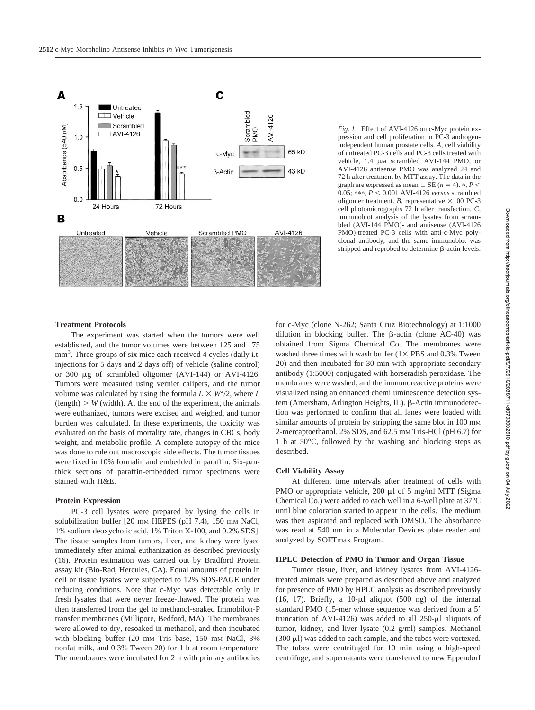

*Fig. 1* Effect of AVI-4126 on c-Myc protein expression and cell proliferation in PC-3 androgenindependent human prostate cells. *A,* cell viability of untreated PC-3 cells and PC-3 cells treated with vehicle, 1.4  $\mu$ M scrambled AVI-144 PMO, or AVI-4126 antisense PMO was analyzed 24 and 72 h after treatment by MTT assay. The data in the graph are expressed as mean  $\pm$  SE ( $n = 4$ ).  $\ast$ ,  $P \le$ 0.05; \*\*\*,  $P < 0.001$  AVI-4126 *versus* scrambled oligomer treatment. *B*, representative  $\times 100$  PC-3 cell photomicrographs 72 h after transfection. *C,* immunoblot analysis of the lysates from scrambled (AVI-144 PMO)- and antisense (AVI-4126 PMO)-treated PC-3 cells with anti-c-Myc polyclonal antibody, and the same immunoblot was stripped and reprobed to determine  $\beta$ -actin levels.

### **Treatment Protocols**

The experiment was started when the tumors were well established, and the tumor volumes were between 125 and 175 mm<sup>3</sup>. Three groups of six mice each received 4 cycles (daily i.t. injections for 5 days and 2 days off) of vehicle (saline control) or 300 µg of scrambled oligomer (AVI-144) or AVI-4126. Tumors were measured using vernier calipers, and the tumor volume was calculated by using the formula  $L \times W^2/2$ , where *L*  $\text{(length)}$   $>$  *W* (width). At the end of the experiment, the animals were euthanized, tumors were excised and weighed, and tumor burden was calculated. In these experiments, the toxicity was evaluated on the basis of mortality rate, changes in CBCs, body weight, and metabolic profile. A complete autopsy of the mice was done to rule out macroscopic side effects. The tumor tissues were fixed in 10% formalin and embedded in paraffin. Six- $\mu$ mthick sections of paraffin-embedded tumor specimens were stained with H&E.

# **Protein Expression**

PC-3 cell lysates were prepared by lysing the cells in solubilization buffer [20 mm HEPES (pH 7.4), 150 mm NaCl, 1% sodium deoxycholic acid, 1% Triton X-100, and 0.2% SDS]. The tissue samples from tumors, liver, and kidney were lysed immediately after animal euthanization as described previously (16). Protein estimation was carried out by Bradford Protein assay kit (Bio-Rad, Hercules, CA). Equal amounts of protein in cell or tissue lysates were subjected to 12% SDS-PAGE under reducing conditions. Note that c-Myc was detectable only in fresh lysates that were never freeze-thawed. The protein was then transferred from the gel to methanol-soaked Immobilon-P transfer membranes (Millipore, Bedford, MA). The membranes were allowed to dry, resoaked in methanol, and then incubated with blocking buffer (20 mm Tris base, 150 mm NaCl, 3% nonfat milk, and 0.3% Tween 20) for 1 h at room temperature. The membranes were incubated for 2 h with primary antibodies for c-Myc (clone N-262; Santa Cruz Biotechnology) at 1:1000 dilution in blocking buffer. The  $\beta$ -actin (clone AC-40) was obtained from Sigma Chemical Co. The membranes were washed three times with wash buffer  $(1 \times PBS$  and 0.3% Tween 20) and then incubated for 30 min with appropriate secondary antibody (1:5000) conjugated with horseradish peroxidase. The membranes were washed, and the immunoreactive proteins were visualized using an enhanced chemiluminescence detection system (Amersham, Arlington Heights, IL). β-Actin immunodetection was performed to confirm that all lanes were loaded with similar amounts of protein by stripping the same blot in 100 mm 2-mercaptoethanol, 2% SDS, and 62.5 mm Tris-HCl (pH 6.7) for 1 h at 50°C, followed by the washing and blocking steps as described.

### **Cell Viability Assay**

At different time intervals after treatment of cells with PMO or appropriate vehicle,  $200 \mu l$  of 5 mg/ml MTT (Sigma Chemical Co.) were added to each well in a 6-well plate at 37°C until blue coloration started to appear in the cells. The medium was then aspirated and replaced with DMSO. The absorbance was read at 540 nm in a Molecular Devices plate reader and analyzed by SOFTmax Program.

## **HPLC Detection of PMO in Tumor and Organ Tissue**

Tumor tissue, liver, and kidney lysates from AVI-4126 treated animals were prepared as described above and analyzed for presence of PMO by HPLC analysis as described previously (16, 17). Briefly, a  $10-\mu l$  aliquot (500 ng) of the internal standard PMO (15-mer whose sequence was derived from a 5 truncation of AVI-4126) was added to all  $250-\mu l$  aliquots of tumor, kidney, and liver lysate (0.2 g/ml) samples. Methanol  $(300 \mu l)$  was added to each sample, and the tubes were vortexed. The tubes were centrifuged for 10 min using a high-speed centrifuge, and supernatants were transferred to new Eppendorf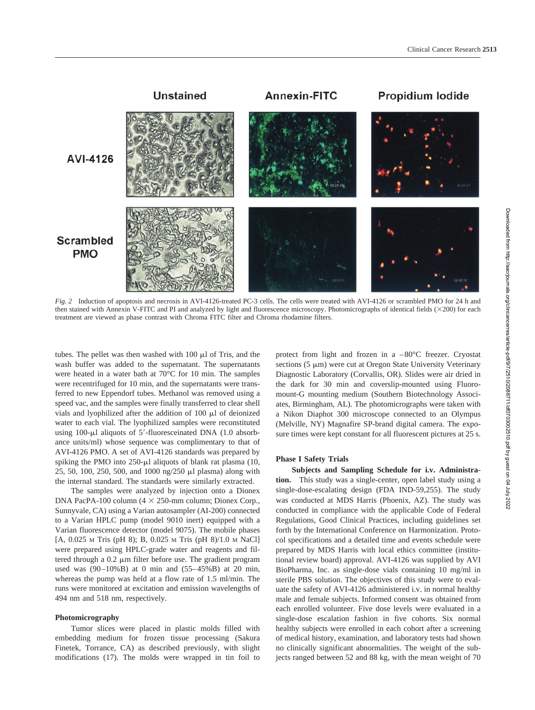

*Fig. 2* Induction of apoptosis and necrosis in AVI-4126-treated PC-3 cells. The cells were treated with AVI-4126 or scrambled PMO for 24 h and then stained with Annexin V-FITC and PI and analyzed by light and fluorescence microscopy. Photomicrographs of identical fields (×200) for each treatment are viewed as phase contrast with Chroma FITC filter and Chroma rhodamine filters.

tubes. The pellet was then washed with  $100 \mu l$  of Tris, and the wash buffer was added to the supernatant. The supernatants were heated in a water bath at 70°C for 10 min. The samples were recentrifuged for 10 min, and the supernatants were transferred to new Eppendorf tubes. Methanol was removed using a speed vac, and the samples were finally transferred to clear shell vials and lyophilized after the addition of  $100 \mu l$  of deionized water to each vial. The lyophilized samples were reconstituted using 100-µl aliquots of 5'-fluoresceinated DNA (1.0 absorbance units/ml) whose sequence was complimentary to that of AVI-4126 PMO. A set of AVI-4126 standards was prepared by spiking the PMO into  $250-\mu l$  aliquots of blank rat plasma (10,  $25, 50, 100, 250, 500,$  and  $1000$  ng/ $250 \mu l$  plasma) along with the internal standard. The standards were similarly extracted.

The samples were analyzed by injection onto a Dionex DNA PacPA-100 column  $(4 \times 250$ -mm column; Dionex Corp., Sunnyvale, CA) using a Varian autosampler (AI-200) connected to a Varian HPLC pump (model 9010 inert) equipped with a Varian fluorescence detector (model 9075). The mobile phases [A, 0.025 M Tris (pH 8); B, 0.025 M Tris (pH 8)/1.0 M NaCl] were prepared using HPLC-grade water and reagents and filtered through a  $0.2 \mu m$  filter before use. The gradient program used was (90–10%B) at 0 min and (55–45%B) at 20 min, whereas the pump was held at a flow rate of 1.5 ml/min. The runs were monitored at excitation and emission wavelengths of 494 nm and 518 nm, respectively.

#### **Photomicrography**

Tumor slices were placed in plastic molds filled with embedding medium for frozen tissue processing (Sakura Finetek, Torrance, CA) as described previously, with slight modifications (17). The molds were wrapped in tin foil to protect from light and frozen in a –80°C freezer. Cryostat sections  $(5 \mu m)$  were cut at Oregon State University Veterinary Diagnostic Laboratory (Corvallis, OR). Slides were air dried in the dark for 30 min and coverslip-mounted using Fluoromount-G mounting medium (Southern Biotechnology Associates, Birmingham, AL). The photomicrographs were taken with a Nikon Diaphot 300 microscope connected to an Olympus (Melville, NY) Magnafire SP-brand digital camera. The exposure times were kept constant for all fluorescent pictures at 25 s.

## **Phase I Safety Trials**

**Subjects and Sampling Schedule for i.v. Administration.** This study was a single-center, open label study using a single-dose-escalating design (FDA IND-59,255). The study was conducted at MDS Harris (Phoenix, AZ). The study was conducted in compliance with the applicable Code of Federal Regulations, Good Clinical Practices, including guidelines set forth by the International Conference on Harmonization. Protocol specifications and a detailed time and events schedule were prepared by MDS Harris with local ethics committee (institutional review board) approval. AVI-4126 was supplied by AVI BioPharma, Inc. as single-dose vials containing 10 mg/ml in sterile PBS solution. The objectives of this study were to evaluate the safety of AVI-4126 administered i.v. in normal healthy male and female subjects. Informed consent was obtained from each enrolled volunteer. Five dose levels were evaluated in a single-dose escalation fashion in five cohorts. Six normal healthy subjects were enrolled in each cohort after a screening of medical history, examination, and laboratory tests had shown no clinically significant abnormalities. The weight of the subjects ranged between 52 and 88 kg, with the mean weight of 70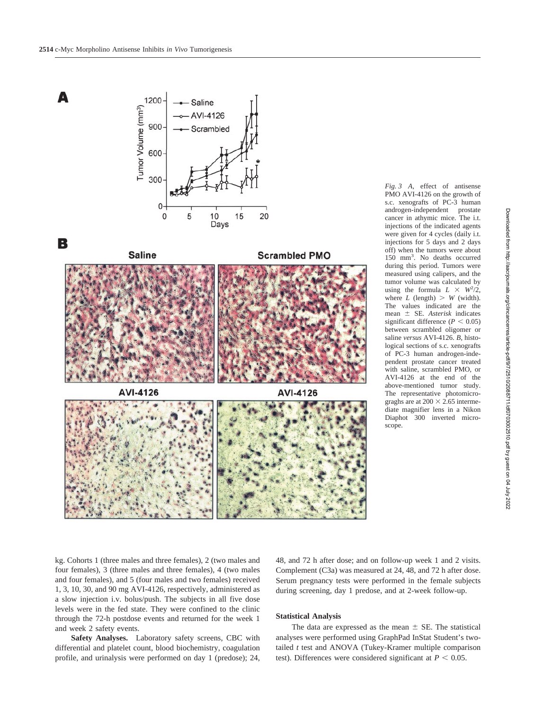**Saline** 





В





*Fig. 3 A,* effect of antisense PMO AVI-4126 on the growth of s.c. xenografts of PC-3 human androgen-independent prostate cancer in athymic mice. The i.t. injections of the indicated agents were given for 4 cycles (daily i.t. injections for 5 days and 2 days off) when the tumors were about 150 mm3 . No deaths occurred during this period. Tumors were measured using calipers, and the tumor volume was calculated by using the formula  $L \times W^2/2$ , where  $L$  (length)  $> W$  (width). The values indicated are the mean SE. *Asterisk* indicates significant difference  $(P < 0.05)$ between scrambled oligomer or saline *versus* AVI-4126. *B,* histological sections of s.c. xenografts of PC-3 human androgen-independent prostate cancer treated with saline, scrambled PMO, or AVI-4126 at the end of the above-mentioned tumor study. The representative photomicrograghs are at  $200 \times 2.65$  intermediate magnifier lens in a Nikon Diaphot 300 inverted microscope.

kg. Cohorts 1 (three males and three females), 2 (two males and four females), 3 (three males and three females), 4 (two males and four females), and 5 (four males and two females) received 1, 3, 10, 30, and 90 mg AVI-4126, respectively, administered as a slow injection i.v. bolus/push. The subjects in all five dose levels were in the fed state. They were confined to the clinic through the 72-h postdose events and returned for the week 1 and week 2 safety events.

**Safety Analyses.** Laboratory safety screens, CBC with differential and platelet count, blood biochemistry, coagulation profile, and urinalysis were performed on day 1 (predose); 24,

# **Statistical Analysis**

The data are expressed as the mean  $\pm$  SE. The statistical analyses were performed using GraphPad InStat Student's twotailed *t* test and ANOVA (Tukey-Kramer multiple comparison test). Differences were considered significant at  $P < 0.05$ .

48, and 72 h after dose; and on follow-up week 1 and 2 visits. Complement (C3a) was measured at 24, 48, and 72 h after dose. Serum pregnancy tests were performed in the female subjects during screening, day 1 predose, and at 2-week follow-up.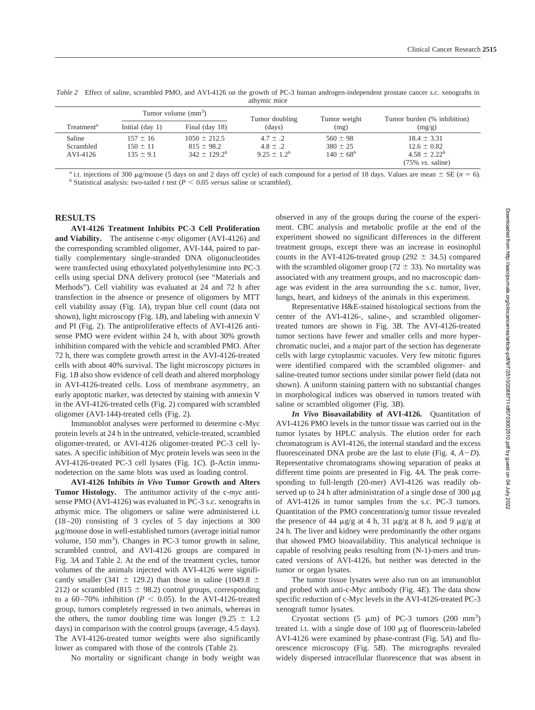|                        | Tumor volume $\text{(mm}^3)$ |                   | Tumor doubling   | Tumor weight   | Tumor burden (% inhibition) |  |  |
|------------------------|------------------------------|-------------------|------------------|----------------|-----------------------------|--|--|
| Treatment <sup>a</sup> | Initial $\frac{day}{1}$      | Final (day 18)    | (days)           | (mg)           | (mg/g)                      |  |  |
| Saline                 | $157 \pm 16$                 | $1050 \pm 212.5$  | $4.7 \pm .2$     | $560 \pm 98$   | $18.4 \pm 3.31$             |  |  |
| Scrambled              | $150 \pm 11$                 | $815 \pm 98.2$    | $4.8 \pm .2$     | $380 \pm 25$   | $12.6 \pm 0.82$             |  |  |
| AVI-4126               | $135 \pm 9.1$                | $342 \pm 129.2^b$ | $9.25 \pm 1.2^b$ | $140 \pm 68^b$ | $4.58 \pm 2.22^b$           |  |  |
|                        |                              |                   |                  |                | $(75\% \text{ vs. saline})$ |  |  |

*Table 2* Effect of saline, scrambled PMO, and AVI-4126 on the growth of PC-3 human androgen-independent prostate cancer s.c. xenografts in athymic mice

<sup>a</sup> i.t. injections of 300 µg/mouse (5 days on and 2 days off cycle) of each compound for a period of 18 days. Values are mean  $\pm$  SE (*n* = 6).<br><sup>*b*</sup> Statistical analysis: two-tailed *t* test (*P* < 0.05 *versus* saline

# **RESULTS**

**AVI-4126 Treatment Inhibits PC-3 Cell Proliferation and Viability.** The antisense c-*myc* oligomer (AVI-4126) and the corresponding scrambled oligomer, AVI-144, paired to partially complementary single-stranded DNA oligonucleotides were transfected using ethoxylated polyethylenimine into PC-3 cells using special DNA delivery protocol (see "Materials and Methods"). Cell viability was evaluated at 24 and 72 h after transfection in the absence or presence of oligomers by MTT cell viability assay (Fig. 1*A*), trypan blue cell count (data not shown), light microscopy (Fig. 1*B*), and labeling with annexin V and PI (Fig. 2). The antiproliferative effects of AVI-4126 antisense PMO were evident within 24 h, with about 30% growth inhibition compared with the vehicle and scrambled PMO. After 72 h, there was complete growth arrest in the AVI-4126-treated cells with about 40% survival. The light microscopy pictures in Fig. 1*B* also show evidence of cell death and altered morphology in AVI-4126-treated cells. Loss of membrane asymmetry, an early apoptotic marker, was detected by staining with annexin V in the AVI-4126-treated cells (Fig. 2) compared with scrambled oligomer (AVI-144)-treated cells (Fig. 2).

Immunoblot analyses were performed to determine c-Myc protein levels at 24 h in the untreated, vehicle-treated, scrambled oligomer-treated, or AVI-4126 oligomer-treated PC-3 cell lysates. A specific inhibition of Myc protein levels was seen in the AVI-4126-treated PC-3 cell lysates (Fig. 1*C*). β-Actin immunodetection on the same blots was used as loading control.

**AVI-4126 Inhibits** *in Vivo* **Tumor Growth and Alters Tumor Histology.** The antitumor activity of the c-*myc* antisense PMO (AVI-4126) was evaluated in PC-3 s.c. xenografts in athymic mice. The oligomers or saline were administered i.t. (18–20) consisting of 3 cycles of 5 day injections at 300 -g/mouse dose in well-established tumors (average initial tumor volume, 150 mm<sup>3</sup>). Changes in PC-3 tumor growth in saline, scrambled control, and AVI-4126 groups are compared in Fig. 3*A* and Table 2. At the end of the treatment cycles, tumor volumes of the animals injected with AVI-4126 were significantly smaller (341  $\pm$  129.2) than those in saline (1049.8  $\pm$ 212) or scrambled (815  $\pm$  98.2) control groups, corresponding to a  $60-70\%$  inhibition ( $P < 0.05$ ). In the AVI-4126-treated group, tumors completely regressed in two animals, whereas in the others, the tumor doubling time was longer (9.25  $\pm$  1.2 days) in comparison with the control groups (average, 4.5 days). The AVI-4126-treated tumor weights were also significantly lower as compared with those of the controls (Table 2).

No mortality or significant change in body weight was

observed in any of the groups during the course of the experiment. CBC analysis and metabolic profile at the end of the experiment showed no significant differences in the different treatment groups, except there was an increase in eosinophil counts in the AVI-4126-treated group (292  $\pm$  34.5) compared with the scrambled oligomer group ( $72 \pm 33$ ). No mortality was associated with any treatment groups, and no macroscopic damage was evident in the area surrounding the s.c. tumor, liver, lungs, heart, and kidneys of the animals in this experiment.

Representative H&E-stained histological sections from the center of the AVI-4126-, saline-, and scrambled oligomertreated tumors are shown in Fig. 3*B*. The AVI-4126-treated tumor sections have fewer and smaller cells and more hyperchromatic nuclei, and a major part of the section has degenerate cells with large cytoplasmic vacuoles. Very few mitotic figures were identified compared with the scrambled oligomer- and saline-treated tumor sections under similar power field (data not shown). A uniform staining pattern with no substantial changes in morphological indices was observed in tumors treated with saline or scrambled oligomer (Fig. 3*B*).

*In Vivo* **Bioavailability of AVI-4126.** Quantitation of AVI-4126 PMO levels in the tumor tissue was carried out in the tumor lysates by HPLC analysis. The elution order for each chromatogram is AVI-4126, the internal standard and the excess fluoresceinated DNA probe are the last to elute (Fig.  $4, A-D$ ). Representative chromatograms showing separation of peaks at different time points are presented in Fig. 4*A*. The peak corresponding to full-length (20-mer) AVI-4126 was readily observed up to 24 h after administration of a single dose of 300  $\mu$ g of AVI-4126 in tumor samples from the s.c. PC-3 tumors. Quantitation of the PMO concentration/g tumor tissue revealed the presence of 44  $\mu$ g/g at 4 h, 31  $\mu$ g/g at 8 h, and 9  $\mu$ g/g at 24 h. The liver and kidney were predominantly the other organs that showed PMO bioavailability. This analytical technique is capable of resolving peaks resulting from (N-1)-mers and truncated versions of AVI-4126, but neither was detected in the tumor or organ lysates.

The tumor tissue lysates were also run on an immunoblot and probed with anti-c-Myc antibody (Fig. 4*E*). The data show specific reduction of c-Myc levels in the AVI-4126-treated PC-3 xenograft tumor lysates.

Cryostat sections  $(5 \mu m)$  of PC-3 tumors  $(200 \mu m^3)$ treated i.t. with a single dose of  $100 \mu g$  of fluorescein-labeled AVI-4126 were examined by phase-contrast (Fig. 5*A*) and fluorescence microscopy (Fig. 5*B*). The micrographs revealed widely dispersed intracellular fluorescence that was absent in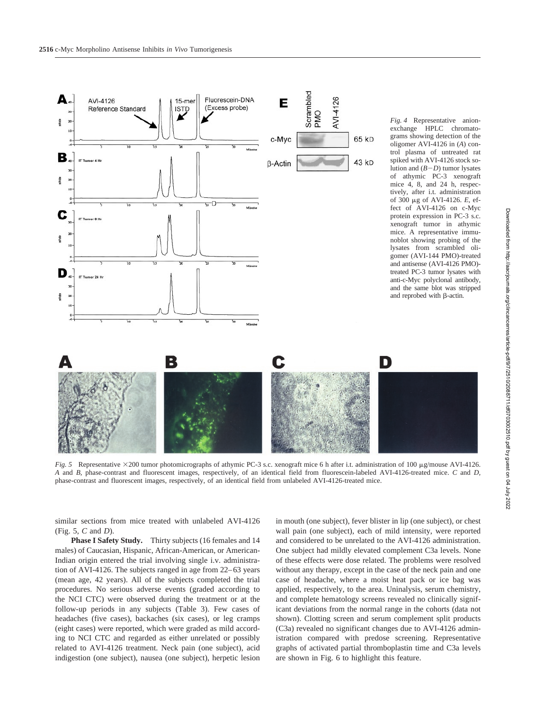

*Fig. 5* Representative ×200 tumor photomicrographs of athymic PC-3 s.c. xenograft mice 6 h after i.t. administration of 100 µg/mouse AVI-4126. *A* and *B,* phase-contrast and fluorescent images, respectively, of an identical field from fluorescein-labeled AVI-4126-treated mice. *C* and *D,* phase-contrast and fluorescent images, respectively, of an identical field from unlabeled AVI-4126-treated mice.

similar sections from mice treated with unlabeled AVI-4126 (Fig. 5, *C* and *D*).

**Phase I Safety Study.** Thirty subjects (16 females and 14 males) of Caucasian, Hispanic, African-American, or American-Indian origin entered the trial involving single i.v. administration of AVI-4126. The subjects ranged in age from 22–63 years (mean age, 42 years). All of the subjects completed the trial procedures. No serious adverse events (graded according to the NCI CTC) were observed during the treatment or at the follow-up periods in any subjects (Table 3). Few cases of headaches (five cases), backaches (six cases), or leg cramps (eight cases) were reported, which were graded as mild according to NCI CTC and regarded as either unrelated or possibly related to AVI-4126 treatment. Neck pain (one subject), acid indigestion (one subject), nausea (one subject), herpetic lesion in mouth (one subject), fever blister in lip (one subject), or chest wall pain (one subject), each of mild intensity, were reported and considered to be unrelated to the AVI-4126 administration. One subject had mildly elevated complement C3a levels. None of these effects were dose related. The problems were resolved without any therapy, except in the case of the neck pain and one case of headache, where a moist heat pack or ice bag was applied, respectively, to the area. Uninalysis, serum chemistry, and complete hematology screens revealed no clinically significant deviations from the normal range in the cohorts (data not shown). Clotting screen and serum complement split products (C3a) revealed no significant changes due to AVI-4126 administration compared with predose screening. Representative graphs of activated partial thromboplastin time and C3a levels are shown in Fig. 6 to highlight this feature.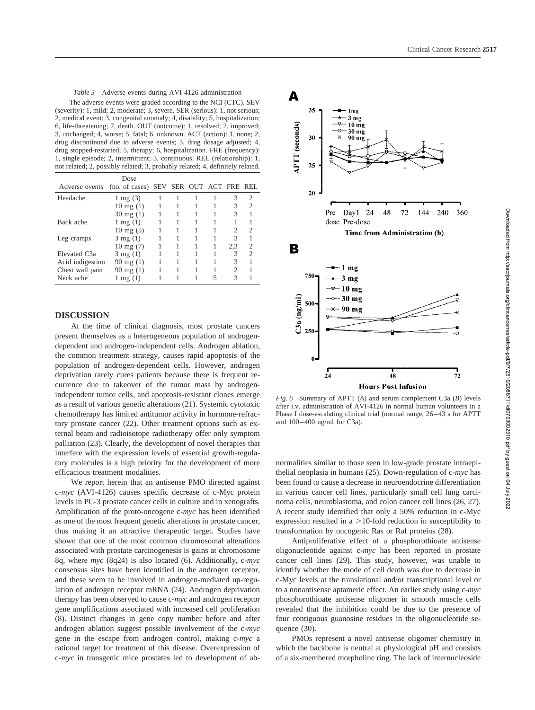*Table 3* Adverse events during AVI-4126 administration The adverse events were graded according to the NCI (CTC). SEV (severity): 1, mild; 2, moderate; 3, severe. SER (serious): 1, not serious; 2, medical event; 3, congenital anomaly; 4, disability; 5, hospitalization; 6, life-threatening; 7, death. OUT (outcome): 1, resolved; 2, improved; 3, unchanged; 4, worse; 5, fatal; 6, unknown. ACT (action): 1, none; 2, drug discontinued due to adverse events; 3, drug dosage adjusted; 4, drug stopped-restarted; 5, therapy; 6, hospitalization. FRE (frequency): 1, single episode; 2, intermittent; 3, continuous. REL (relationship): 1, not related; 2, possibly related; 3, probably related; 4, definitely related.

| Dose                 |  |  |     |                                        |
|----------------------|--|--|-----|----------------------------------------|
|                      |  |  |     |                                        |
| $1 \text{ mg} (3)$   |  |  | 3   | 2                                      |
| $10 \text{ mg} (1)$  |  |  | 3   | 2                                      |
| $30 \text{ mg} (1)$  |  |  | 3   |                                        |
| $1$ mg $(1)$         |  |  |     |                                        |
| $10 \text{ mg } (5)$ |  |  |     | 2                                      |
| $3 \text{ mg } (1)$  |  |  | 3   |                                        |
| $10 \text{ mg} (7)$  |  |  | 2,3 | 2                                      |
| $3 \text{ mg } (1)$  |  |  | 3   | $\overline{c}$                         |
| $90 \text{ mg} (1)$  |  |  | 3   |                                        |
| $90 \text{ mg} (1)$  |  |  | 2   |                                        |
| $1$ mg $(1)$         |  |  | 3   |                                        |
|                      |  |  |     | (no. of cases) SEV SER OUT ACT FRE REL |

# **DISCUSSION**

At the time of clinical diagnosis, most prostate cancers present themselves as a heterogeneous population of androgendependent and androgen-independent cells. Androgen ablation, the common treatment strategy, causes rapid apoptosis of the population of androgen-dependent cells. However, androgen deprivation rarely cures patients because there is frequent recurrence due to takeover of the tumor mass by androgenindependent tumor cells, and apoptosis-resistant clones emerge as a result of various genetic alterations (21). Systemic cytotoxic chemotherapy has limited antitumor activity in hormone-refractory prostate cancer (22). Other treatment options such as external beam and radioisotope radiotherapy offer only symptom palliation (23). Clearly, the development of novel therapies that interfere with the expression levels of essential growth-regulatory molecules is a high priority for the development of more efficacious treatment modalities.

We report herein that an antisense PMO directed against c-*myc* (AVI-4126) causes specific decrease of c-Myc protein levels in PC-3 prostate cancer cells in culture and in xenografts. Amplification of the proto-oncogene c-*myc* has been identified as one of the most frequent genetic alterations in prostate cancer, thus making it an attractive therapeutic target. Studies have shown that one of the most common chromosomal alterations associated with prostate carcinogenesis is gains at chromosome 8q, where *myc* (8q24) is also located (6). Additionally, c-*myc* consensus sites have been identified in the androgen receptor, and these seem to be involved in androgen-mediated up-regulation of androgen receptor mRNA (24). Androgen deprivation therapy has been observed to cause c-*myc* and androgen receptor gene amplifications associated with increased cell proliferation (8). Distinct changes in gene copy number before and after androgen ablation suggest possible involvement of the c-*myc* gene in the escape from androgen control, making c-*myc* a rational target for treatment of this disease. Overexpression of c-*myc* in transgenic mice prostates led to development of ab-



*Fig. 6* Summary of APTT (*A*) and serum complement C3a (*B*) levels after i.v. administration of AVI-4126 in normal human volunteers in a Phase I dose-escalating clinical trial (normal range, 26–43 s for APTT and 100–400 ng/ml for C3a).

normalities similar to those seen in low-grade prostate intraepithelial neoplasia in humans (25). Down-regulation of c-*myc* has been found to cause a decrease in neuroendocrine differentiation in various cancer cell lines, particularly small cell lung carcinoma cells, neuroblastoma, and colon cancer cell lines (26, 27). A recent study identified that only a 50% reduction in c-Myc expression resulted in a  $>$  10-fold reduction in susceptibility to transformation by oncogenic Ras or Raf proteins (28).

Antiproliferative effect of a phosphorothioate antisense oligonucleotide against c-*myc* has been reported in prostate cancer cell lines (29). This study, however, was unable to identify whether the mode of cell death was due to decrease in c-Myc levels at the translational and/or transcriptional level or to a nonantisense aptameric effect. An earlier study using c-*myc* phosphorothioate antisense oligomer in smooth muscle cells revealed that the inhibition could be due to the presence of four contiguous guanosine residues in the oligonucleotide sequence (30).

PMOs represent a novel antisense oligomer chemistry in which the backbone is neutral at physiological pH and consists of a six-membered morpholine ring. The lack of internucleoside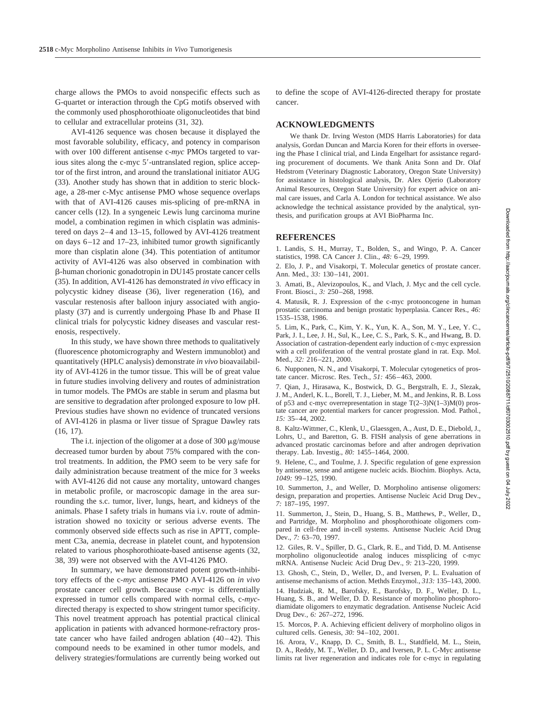charge allows the PMOs to avoid nonspecific effects such as G-quartet or interaction through the CpG motifs observed with the commonly used phosphorothioate oligonucleotides that bind to cellular and extracellular proteins (31, 32).

AVI-4126 sequence was chosen because it displayed the most favorable solubility, efficacy, and potency in comparison with over 100 different antisense c-*myc* PMOs targeted to various sites along the c-myc 5'-untranslated region, splice acceptor of the first intron, and around the translational initiator AUG (33). Another study has shown that in addition to steric blockage, a 28-mer c-Myc antisense PMO whose sequence overlaps with that of AVI-4126 causes mis-splicing of pre-mRNA in cancer cells (12). In a syngeneic Lewis lung carcinoma murine model, a combination regimen in which cisplatin was administered on days 2–4 and 13–15, followed by AVI-4126 treatment on days 6–12 and 17–23, inhibited tumor growth significantly more than cisplatin alone (34). This potentiation of antitumor activity of AVI-4126 was also observed in combination with -human chorionic gonadotropin in DU145 prostate cancer cells (35). In addition, AVI-4126 has demonstrated *in vivo* efficacy in polycystic kidney disease (36), liver regeneration (16), and vascular restenosis after balloon injury associated with angioplasty (37) and is currently undergoing Phase Ib and Phase II clinical trials for polycystic kidney diseases and vascular restenosis, respectively.

In this study, we have shown three methods to qualitatively (fluorescence photomicrography and Western immunoblot) and quantitatively (HPLC analysis) demonstrate *in vivo* bioavailability of AVI-4126 in the tumor tissue. This will be of great value in future studies involving delivery and routes of administration in tumor models. The PMOs are stable in serum and plasma but are sensitive to degradation after prolonged exposure to low pH. Previous studies have shown no evidence of truncated versions of AVI-4126 in plasma or liver tissue of Sprague Dawley rats (16, 17).

The i.t. injection of the oligomer at a dose of 300  $\mu$ g/mouse decreased tumor burden by about 75% compared with the control treatments. In addition, the PMO seem to be very safe for daily administration because treatment of the mice for 3 weeks with AVI-4126 did not cause any mortality, untoward changes in metabolic profile, or macroscopic damage in the area surrounding the s.c. tumor, liver, lungs, heart, and kidneys of the animals. Phase I safety trials in humans via i.v. route of administration showed no toxicity or serious adverse events. The commonly observed side effects such as rise in APTT, complement C3a, anemia, decrease in platelet count, and hypotension related to various phosphorothioate-based antisense agents (32, 38, 39) were not observed with the AVI-4126 PMO.

In summary, we have demonstrated potent growth-inhibitory effects of the c-*my*c antisense PMO AVI-4126 on *in vivo* prostate cancer cell growth. Because c-*myc* is differentially expressed in tumor cells compared with normal cells, c-*myc*directed therapy is expected to show stringent tumor specificity. This novel treatment approach has potential practical clinical application in patients with advanced hormone-refractory prostate cancer who have failed androgen ablation (40–42). This compound needs to be examined in other tumor models, and delivery strategies/formulations are currently being worked out

to define the scope of AVI-4126-directed therapy for prostate cancer.

### **ACKNOWLEDGMENTS**

We thank Dr. Irving Weston (MDS Harris Laboratories) for data analysis, Gordan Duncan and Marcia Koren for their efforts in overseeing the Phase I clinical trial, and Linda Engelhart for assistance regarding procurement of documents. We thank Anita Sonn and Dr. Olaf Hedstrom (Veterinary Diagnostic Laboratory, Oregon State University) for assistance in histological analysis, Dr. Alex Ojerio (Laboratory Animal Resources, Oregon State University) for expert advice on animal care issues, and Carla A. London for technical assistance. We also acknowledge the technical assistance provided by the analytical, synthesis, and purification groups at AVI BioPharma Inc.

# **REFERENCES**

1. Landis, S. H., Murray, T., Bolden, S., and Wingo, P. A. Cancer statistics, 1998. CA Cancer J. Clin., *48:* 6–29, 1999.

2. Elo, J. P., and Visakorpi, T. Molecular genetics of prostate cancer. Ann. Med., *33:* 130–141, 2001.

3. Amati, B., Alevizopoulos, K., and Vlach, J. Myc and the cell cycle. Front. Biosci., *3:* 250–268, 1998.

4. Matusik, R. J. Expression of the c-myc protooncogene in human prostatic carcinoma and benign prostatic hyperplasia. Cancer Res., *46:* 1535–1538, 1986.

5. Lim, K., Park, C., Kim, Y. K., Yun, K. A., Son, M. Y., Lee, Y. C., Park, J. I., Lee, J. H., Sul, K., Lee, C. S., Park, S. K., and Hwang, B. D. Association of castration-dependent early induction of c-myc expression with a cell proliferation of the ventral prostate gland in rat. Exp. Mol. Med., *32:* 216–221, 2000.

6. Nupponen, N. N., and Visakorpi, T. Molecular cytogenetics of prostate cancer. Microsc. Res. Tech., *51:* 456–463, 2000.

7. Qian, J., Hirasawa, K., Bostwick, D. G., Bergstralh, E. J., Slezak, J. M., Anderl, K. L., Borell, T. J., Lieber, M. M., and Jenkins, R. B. Loss of p53 and c-myc overrepresentation in stage T(2–3)N(1–3)M(0) prostate cancer are potential markers for cancer progression. Mod. Pathol*., 15:* 35–44, 2002.

8. Kaltz-Wittmer, C., Klenk, U., Glaessgen, A., Aust, D. E., Diebold, J., Lohrs, U., and Baretton, G. B. FISH analysis of gene aberrations in advanced prostatic carcinomas before and after androgen deprivation therapy. Lab. Investig., *80:* 1455–1464, 2000.

9. Helene, C., and Toulme, J. J. Specific regulation of gene expression by antisense, sense and antigene nucleic acids. Biochim. Biophys. Acta, *1049:* 99–125, 1990.

10. Summerton, J., and Weller, D. Morpholino antisense oligomers: design, preparation and properties. Antisense Nucleic Acid Drug Dev., *7:* 187–195, 1997.

11. Summerton, J., Stein, D., Huang, S. B., Matthews, P., Weller, D., and Partridge, M. Morpholino and phosphorothioate oligomers compared in cell-free and in-cell systems. Antisense Nucleic Acid Drug Dev., *7:* 63–70, 1997.

12. Giles, R. V., Spiller, D. G., Clark, R. E., and Tidd, D. M. Antisense morpholino oligonucleotide analog induces missplicing of c-myc mRNA. Antisense Nucleic Acid Drug Dev., *9:* 213–220, 1999.

13. Ghosh, C., Stein, D., Weller, D., and Iversen, P. L. Evaluation of antisense mechanisms of action. Methds Enzymol., *313:* 135–143, 2000.

14. Hudziak, R. M., Barofsky, E., Barofsky, D. F., Weller, D. L., Huang, S. B., and Weller, D. D. Resistance of morpholino phosphorodiamidate oligomers to enzymatic degradation. Antisense Nucleic Acid Drug Dev*., 6:* 267–272, 1996.

15. Morcos, P. A. Achieving efficient delivery of morpholino oligos in cultured cells. Genesis, *30:* 94–102, 2001.

16. Arora, V., Knapp, D. C., Smith, B. L., Statdfield, M. L., Stein, D. A., Reddy, M. T., Weller, D. D., and Iversen, P. L. C-Myc antisense limits rat liver regeneration and indicates role for c-myc in regulating